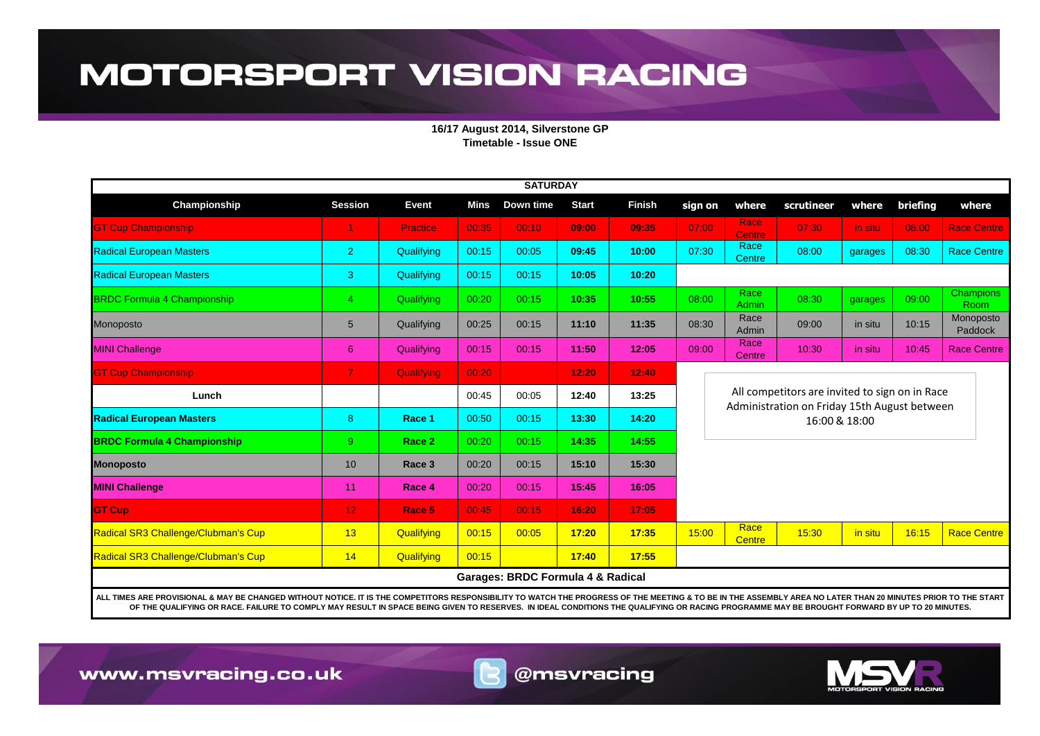## **MOTORSPORT VISION RACING**

**16/17 August 2014, Silverstone GP Timetable - Issue ONE**

| <b>SATURDAY</b>                     |                 |                 |       |           |              |               |                                                                                                                 |                              |            |         |          |                          |  |
|-------------------------------------|-----------------|-----------------|-------|-----------|--------------|---------------|-----------------------------------------------------------------------------------------------------------------|------------------------------|------------|---------|----------|--------------------------|--|
| Championship                        | <b>Session</b>  | <b>Event</b>    | Mins  | Down time | <b>Start</b> | <b>Finish</b> | sign on                                                                                                         | where                        | scrutineer | where   | briefing | where                    |  |
| <b>GT Cup Championship</b>          |                 | <b>Practice</b> | 00:35 | 00:10     | 09:00        | 09:35         | 07:00                                                                                                           | <b>Race</b><br><b>Centre</b> | 07:30      | in situ | 08:00    | <b>Race Centre</b>       |  |
| <b>Radical European Masters</b>     | $\overline{2}$  | Qualifying      | 00:15 | 00:05     | 09:45        | 10:00         | 07:30                                                                                                           | Race<br><b>Centre</b>        | 08:00      | garages | 08:30    | <b>Race Centre</b>       |  |
| <b>Radical European Masters</b>     | 3               | Qualifying      | 00:15 | 00:15     | 10:05        | 10:20         |                                                                                                                 |                              |            |         |          |                          |  |
| <b>BRDC Formula 4 Championship</b>  | $\overline{4}$  | Qualifying      | 00:20 | 00:15     | 10:35        | 10:55         | 08:00                                                                                                           | Race<br>Admin                | 08:30      | garages | 09:00    | <b>Champions</b><br>Room |  |
| Monoposto                           | $5\overline{)}$ | Qualifying      | 00:25 | 00:15     | 11:10        | 11:35         | 08:30                                                                                                           | Race<br>Admin                | 09:00      | in situ | 10:15    | Monoposto<br>Paddock     |  |
| <b>MINI Challenge</b>               | 6               | Qualifying      | 00:15 | 00:15     | 11:50        | 12:05         | 09:00                                                                                                           | Race<br>Centre               | 10:30      | in situ | 10:45    | <b>Race Centre</b>       |  |
| <b>GT Cup Championship</b>          | $\overline{7}$  | Qualifying      | 00:20 |           | 12:20        | 12:40         |                                                                                                                 |                              |            |         |          |                          |  |
| Lunch                               |                 |                 | 00:45 | 00:05     | 12:40        | 13:25         | All competitors are invited to sign on in Race<br>Administration on Friday 15th August between<br>16:00 & 18:00 |                              |            |         |          |                          |  |
| <b>Radical European Masters</b>     | 8               | Race 1          | 00:50 | 00:15     | 13:30        | 14:20         |                                                                                                                 |                              |            |         |          |                          |  |
| <b>BRDC Formula 4 Championship</b>  | 9               | Race 2          | 00:20 | 00:15     | 14:35        | 14:55         |                                                                                                                 |                              |            |         |          |                          |  |
| <b>Monoposto</b>                    | 10 <sup>1</sup> | Race 3          | 00:20 | 00:15     | 15:10        | 15:30         |                                                                                                                 |                              |            |         |          |                          |  |
| <b>MINI Challenge</b>               | 11              | Race 4          | 00:20 | 00:15     | 15:45        | 16:05         |                                                                                                                 |                              |            |         |          |                          |  |
| <b>GT Cup</b>                       | 12 <sub>1</sub> | Race 5          | 00:45 | 00:15     | 16:20        | 17:05         |                                                                                                                 |                              |            |         |          |                          |  |
| Radical SR3 Challenge/Clubman's Cup | 13              | Qualifying      | 00:15 | 00:05     | 17:20        | 17:35         | 15:00                                                                                                           | Race<br><b>Centre</b>        | 15:30      | in situ | 16:15    | <b>Race Centre</b>       |  |
| Radical SR3 Challenge/Clubman's Cup | 14              | Qualifying      | 00:15 |           | 17:40        | 17:55         |                                                                                                                 |                              |            |         |          |                          |  |
| Garages: BRDC Formula 4 & Radical   |                 |                 |       |           |              |               |                                                                                                                 |                              |            |         |          |                          |  |

**ALL TIMES ARE PROVISIONAL & MAY BE CHANGED WITHOUT NOTICE. IT IS THE COMPETITORS RESPONSIBILITY TO WATCH THE PROGRESS OF THE MEETING & TO BE IN THE ASSEMBLY AREA NO LATER THAN 20 MINUTES PRIOR TO THE START OF THE QUALIFYING OR RACE. FAILURE TO COMPLY MAY RESULT IN SPACE BEING GIVEN TO RESERVES. IN IDEAL CONDITIONS THE QUALIFYING OR RACING PROGRAMME MAY BE BROUGHT FORWARD BY UP TO 20 MINUTES.**

www.msvracing.co.uk